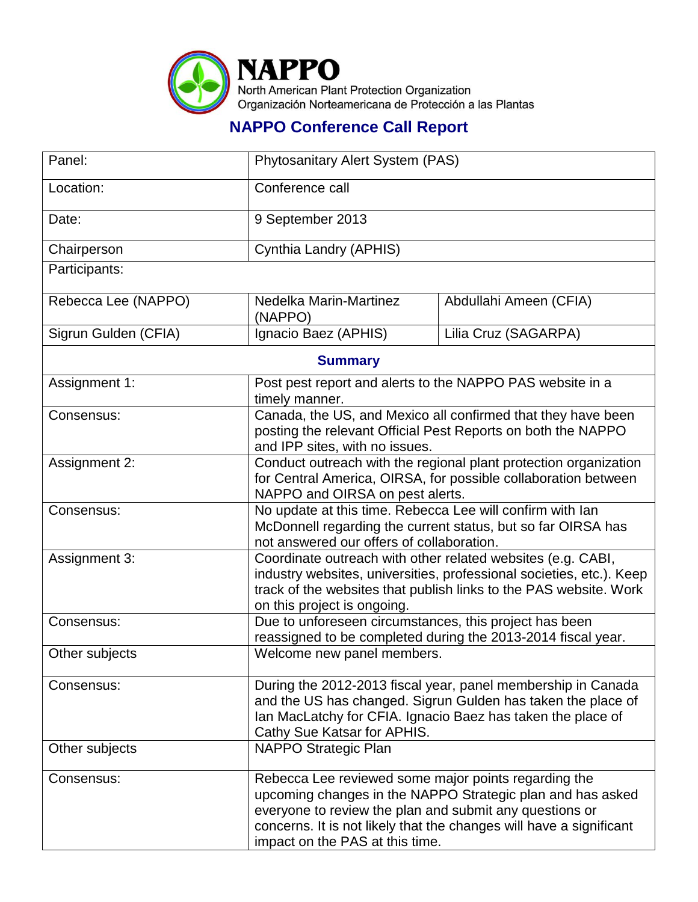

## **NAPPO Conference Call Report**

| Panel:               | Phytosanitary Alert System (PAS)                                                                                                                                                                                                                                                        |                        |  |  |
|----------------------|-----------------------------------------------------------------------------------------------------------------------------------------------------------------------------------------------------------------------------------------------------------------------------------------|------------------------|--|--|
| Location:            | Conference call                                                                                                                                                                                                                                                                         |                        |  |  |
| Date:                | 9 September 2013                                                                                                                                                                                                                                                                        |                        |  |  |
| Chairperson          | Cynthia Landry (APHIS)                                                                                                                                                                                                                                                                  |                        |  |  |
| Participants:        |                                                                                                                                                                                                                                                                                         |                        |  |  |
| Rebecca Lee (NAPPO)  | Nedelka Marin-Martinez<br>(NAPPO)                                                                                                                                                                                                                                                       | Abdullahi Ameen (CFIA) |  |  |
| Sigrun Gulden (CFIA) | Ignacio Baez (APHIS)                                                                                                                                                                                                                                                                    | Lilia Cruz (SAGARPA)   |  |  |
| <b>Summary</b>       |                                                                                                                                                                                                                                                                                         |                        |  |  |
| Assignment 1:        | Post pest report and alerts to the NAPPO PAS website in a<br>timely manner.                                                                                                                                                                                                             |                        |  |  |
| Consensus:           | Canada, the US, and Mexico all confirmed that they have been<br>posting the relevant Official Pest Reports on both the NAPPO<br>and IPP sites, with no issues.                                                                                                                          |                        |  |  |
| Assignment 2:        | Conduct outreach with the regional plant protection organization<br>for Central America, OIRSA, for possible collaboration between<br>NAPPO and OIRSA on pest alerts.                                                                                                                   |                        |  |  |
| Consensus:           | No update at this time. Rebecca Lee will confirm with lan<br>McDonnell regarding the current status, but so far OIRSA has<br>not answered our offers of collaboration.                                                                                                                  |                        |  |  |
| Assignment 3:        | Coordinate outreach with other related websites (e.g. CABI,<br>industry websites, universities, professional societies, etc.). Keep<br>track of the websites that publish links to the PAS website. Work<br>on this project is ongoing.                                                 |                        |  |  |
| Consensus:           | Due to unforeseen circumstances, this project has been<br>reassigned to be completed during the 2013-2014 fiscal year.                                                                                                                                                                  |                        |  |  |
| Other subjects       | Welcome new panel members.                                                                                                                                                                                                                                                              |                        |  |  |
| Consensus:           | During the 2012-2013 fiscal year, panel membership in Canada<br>and the US has changed. Sigrun Gulden has taken the place of<br>Ian MacLatchy for CFIA. Ignacio Baez has taken the place of<br>Cathy Sue Katsar for APHIS.                                                              |                        |  |  |
| Other subjects       | NAPPO Strategic Plan                                                                                                                                                                                                                                                                    |                        |  |  |
| Consensus:           | Rebecca Lee reviewed some major points regarding the<br>upcoming changes in the NAPPO Strategic plan and has asked<br>everyone to review the plan and submit any questions or<br>concerns. It is not likely that the changes will have a significant<br>impact on the PAS at this time. |                        |  |  |